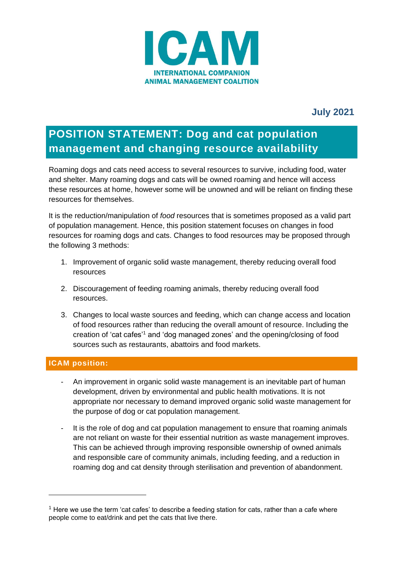

# **July 2021**

# **POSITION STATEMENT: Dog and cat population management and changing resource availability**

Roaming dogs and cats need access to several resources to survive, including food, water and shelter. Many roaming dogs and cats will be owned roaming and hence will access these resources at home, however some will be unowned and will be reliant on finding these resources for themselves.

It is the reduction/manipulation of *food* resources that is sometimes proposed as a valid part of population management. Hence, this position statement focuses on changes in food resources for roaming dogs and cats. Changes to food resources may be proposed through the following 3 methods:

- 1. Improvement of organic solid waste management, thereby reducing overall food resources
- 2. Discouragement of feeding roaming animals, thereby reducing overall food resources.
- 3. Changes to local waste sources and feeding, which can change access and location of food resources rather than reducing the overall amount of resource. Including the creation of 'cat cafes'<sup>1</sup> and 'dog managed zones' and the opening/closing of food sources such as restaurants, abattoirs and food markets.

### **ICAM position:**

- An improvement in organic solid waste management is an inevitable part of human development, driven by environmental and public health motivations. It is not appropriate nor necessary to demand improved organic solid waste management for the purpose of dog or cat population management.
- It is the role of dog and cat population management to ensure that roaming animals are not reliant on waste for their essential nutrition as waste management improves. This can be achieved through improving responsible ownership of owned animals and responsible care of community animals, including feeding, and a reduction in roaming dog and cat density through sterilisation and prevention of abandonment.

 $<sup>1</sup>$  Here we use the term 'cat cafes' to describe a feeding station for cats, rather than a cafe where</sup> people come to eat/drink and pet the cats that live there.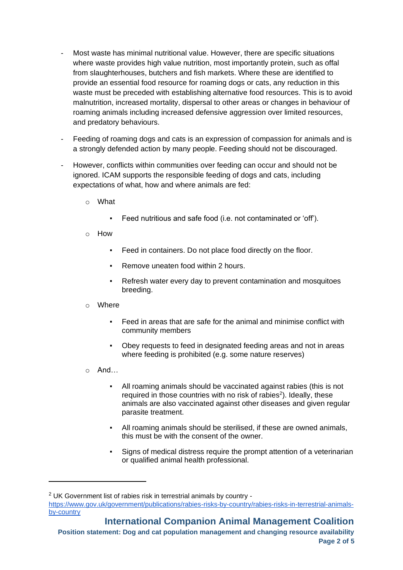- Most waste has minimal nutritional value. However, there are specific situations where waste provides high value nutrition, most importantly protein, such as offal from slaughterhouses, butchers and fish markets. Where these are identified to provide an essential food resource for roaming dogs or cats, any reduction in this waste must be preceded with establishing alternative food resources. This is to avoid malnutrition, increased mortality, dispersal to other areas or changes in behaviour of roaming animals including increased defensive aggression over limited resources, and predatory behaviours.
- Feeding of roaming dogs and cats is an expression of compassion for animals and is a strongly defended action by many people. Feeding should not be discouraged.
- However, conflicts within communities over feeding can occur and should not be ignored. ICAM supports the responsible feeding of dogs and cats, including expectations of what, how and where animals are fed:
	- o What
		- Feed nutritious and safe food (i.e. not contaminated or 'off').
	- o How
		- Feed in containers. Do not place food directly on the floor.
		- Remove uneaten food within 2 hours.
		- Refresh water every day to prevent contamination and mosquitoes breeding.
	- o Where
		- Feed in areas that are safe for the animal and minimise conflict with community members
		- Obey requests to feed in designated feeding areas and not in areas where feeding is prohibited (e.g. some nature reserves)
	- o And…
		- All roaming animals should be vaccinated against rabies (this is not required in those countries with no risk of rabies $2$ ). Ideally, these animals are also vaccinated against other diseases and given regular parasite treatment.
		- All roaming animals should be sterilised, if these are owned animals, this must be with the consent of the owner.
		- Signs of medical distress require the prompt attention of a veterinarian or qualified animal health professional.

<sup>2</sup> UK Government list of rabies risk in terrestrial animals by country [https://www.gov.uk/government/publications/rabies-risks-by-country/rabies-risks-in-terrestrial-animals](https://www.gov.uk/government/publications/rabies-risks-by-country/rabies-risks-in-terrestrial-animals-by-country)[by-country](https://www.gov.uk/government/publications/rabies-risks-by-country/rabies-risks-in-terrestrial-animals-by-country)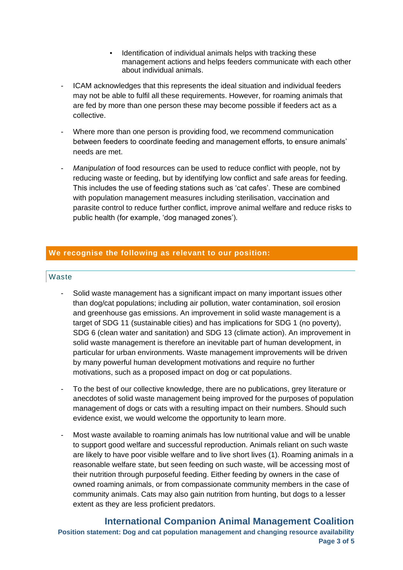- Identification of individual animals helps with tracking these management actions and helps feeders communicate with each other about individual animals.
- ICAM acknowledges that this represents the ideal situation and individual feeders may not be able to fulfil all these requirements. However, for roaming animals that are fed by more than one person these may become possible if feeders act as a collective.
- Where more than one person is providing food, we recommend communication between feeders to coordinate feeding and management efforts, to ensure animals' needs are met.
- *Manipulation* of food resources can be used to reduce conflict with people, not by reducing waste or feeding, but by identifying low conflict and safe areas for feeding. This includes the use of feeding stations such as 'cat cafes'. These are combined with population management measures including sterilisation, vaccination and parasite control to reduce further conflict, improve animal welfare and reduce risks to public health (for example, 'dog managed zones').

#### **We recognise the following as relevant to our position:**

#### Waste

- Solid waste management has a significant impact on many important issues other than dog/cat populations; including air pollution, water contamination, soil erosion and greenhouse gas emissions. An improvement in solid waste management is a target of SDG 11 (sustainable cities) and has implications for SDG 1 (no poverty), SDG 6 (clean water and sanitation) and SDG 13 (climate action). An improvement in solid waste management is therefore an inevitable part of human development, in particular for urban environments. Waste management improvements will be driven by many powerful human development motivations and require no further motivations, such as a proposed impact on dog or cat populations.
- To the best of our collective knowledge, there are no publications, grey literature or anecdotes of solid waste management being improved for the purposes of population management of dogs or cats with a resulting impact on their numbers. Should such evidence exist, we would welcome the opportunity to learn more.
- Most waste available to roaming animals has low nutritional value and will be unable to support good welfare and successful reproduction. Animals reliant on such waste are likely to have poor visible welfare and to live short lives (1). Roaming animals in a reasonable welfare state, but seen feeding on such waste, will be accessing most of their nutrition through purposeful feeding. Either feeding by owners in the case of owned roaming animals, or from compassionate community members in the case of community animals. Cats may also gain nutrition from hunting, but dogs to a lesser extent as they are less proficient predators.

**International Companion Animal Management Coalition Position statement: Dog and cat population management and changing resource availability Page 3 of 5**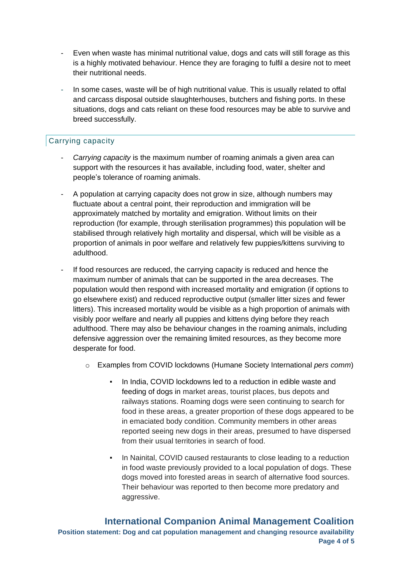- Even when waste has minimal nutritional value, dogs and cats will still forage as this is a highly motivated behaviour. Hence they are foraging to fulfil a desire not to meet their nutritional needs.
- In some cases, waste will be of high nutritional value. This is usually related to offal and carcass disposal outside slaughterhouses, butchers and fishing ports. In these situations, dogs and cats reliant on these food resources may be able to survive and breed successfully.

## Carrying capacity

- *Carrying capacity* is the maximum number of roaming animals a given area can support with the resources it has available, including food, water, shelter and people's tolerance of roaming animals.
- A population at carrying capacity does not grow in size, although numbers may fluctuate about a central point, their reproduction and immigration will be approximately matched by mortality and emigration. Without limits on their reproduction (for example, through sterilisation programmes) this population will be stabilised through relatively high mortality and dispersal, which will be visible as a proportion of animals in poor welfare and relatively few puppies/kittens surviving to adulthood.
- If food resources are reduced, the carrying capacity is reduced and hence the maximum number of animals that can be supported in the area decreases. The population would then respond with increased mortality and emigration (if options to go elsewhere exist) and reduced reproductive output (smaller litter sizes and fewer litters). This increased mortality would be visible as a high proportion of animals with visibly poor welfare and nearly all puppies and kittens dying before they reach adulthood. There may also be behaviour changes in the roaming animals, including defensive aggression over the remaining limited resources, as they become more desperate for food.
	- o Examples from COVID lockdowns (Humane Society International *pers comm*)
		- In India, COVID lockdowns led to a reduction in edible waste and feeding of dogs in market areas, tourist places, bus depots and railways stations. Roaming dogs were seen continuing to search for food in these areas, a greater proportion of these dogs appeared to be in emaciated body condition. Community members in other areas reported seeing new dogs in their areas, presumed to have dispersed from their usual territories in search of food.
		- In Nainital, COVID caused restaurants to close leading to a reduction in food waste previously provided to a local population of dogs. These dogs moved into forested areas in search of alternative food sources. Their behaviour was reported to then become more predatory and aggressive.